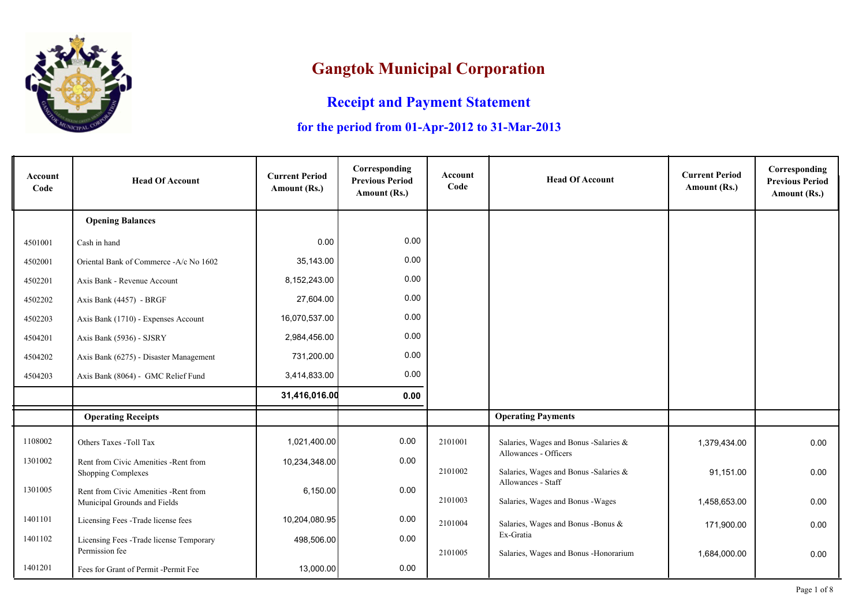

## **Gangtok Municipal Corporation**

## **Receipt and Payment Statement**

## **for the period from 01-Apr-2012 to 31-Mar-2013**

| Account<br>Code | <b>Head Of Account</b>                                                | <b>Current Period</b><br>Amount (Rs.) | Corresponding<br><b>Previous Period</b><br>Amount (Rs.) | Account<br>Code | <b>Head Of Account</b>                                         | <b>Current Period</b><br>Amount (Rs.) | Corresponding<br><b>Previous Period</b><br>Amount (Rs.) |
|-----------------|-----------------------------------------------------------------------|---------------------------------------|---------------------------------------------------------|-----------------|----------------------------------------------------------------|---------------------------------------|---------------------------------------------------------|
|                 | <b>Opening Balances</b>                                               |                                       |                                                         |                 |                                                                |                                       |                                                         |
| 4501001         | Cash in hand                                                          | 0.00                                  | 0.00                                                    |                 |                                                                |                                       |                                                         |
| 4502001         | Oriental Bank of Commerce -A/c No 1602                                | 35,143.00                             | 0.00                                                    |                 |                                                                |                                       |                                                         |
| 4502201         | Axis Bank - Revenue Account                                           | 8,152,243.00                          | 0.00                                                    |                 |                                                                |                                       |                                                         |
| 4502202         | Axis Bank (4457) - BRGF                                               | 27,604.00                             | 0.00                                                    |                 |                                                                |                                       |                                                         |
| 4502203         | Axis Bank (1710) - Expenses Account                                   | 16,070,537.00                         | 0.00                                                    |                 |                                                                |                                       |                                                         |
| 4504201         | Axis Bank (5936) - SJSRY                                              | 2,984,456.00                          | 0.00                                                    |                 |                                                                |                                       |                                                         |
| 4504202         | Axis Bank (6275) - Disaster Management                                | 731,200.00                            | 0.00                                                    |                 |                                                                |                                       |                                                         |
| 4504203         | Axis Bank (8064) - GMC Relief Fund                                    | 3,414,833.00                          | 0.00                                                    |                 |                                                                |                                       |                                                         |
|                 |                                                                       | 31,416,016.00                         | 0.00                                                    |                 |                                                                |                                       |                                                         |
|                 | <b>Operating Receipts</b>                                             |                                       |                                                         |                 | <b>Operating Payments</b>                                      |                                       |                                                         |
| 1108002         | Others Taxes -Toll Tax                                                | 1,021,400.00                          | 0.00                                                    | 2101001         | Salaries, Wages and Bonus - Salaries &                         | 1,379,434.00                          | 0.00                                                    |
| 1301002         | Rent from Civic Amenities - Rent from<br>Shopping Complexes           | 10,234,348.00                         | 0.00                                                    | 2101002         | Allowances - Officers<br>Salaries, Wages and Bonus -Salaries & | 91,151.00                             | 0.00                                                    |
| 1301005         | Rent from Civic Amenities - Rent from<br>Municipal Grounds and Fields | 6,150.00                              | 0.00                                                    | 2101003         | Allowances - Staff<br>Salaries, Wages and Bonus - Wages        | 1,458,653.00                          | 0.00                                                    |
| 1401101         | Licensing Fees -Trade license fees                                    | 10,204,080.95                         | 0.00                                                    | 2101004         | Salaries, Wages and Bonus - Bonus &                            | 171,900.00                            | 0.00                                                    |
| 1401102         | Licensing Fees - Trade license Temporary                              | 498,506.00                            | 0.00                                                    |                 | Ex-Gratia                                                      |                                       |                                                         |
|                 | Permission fee                                                        |                                       |                                                         | 2101005         | Salaries, Wages and Bonus - Honorarium                         | 1,684,000.00                          | 0.00                                                    |
| 1401201         | Fees for Grant of Permit -Permit Fee                                  | 13,000.00                             | 0.00                                                    |                 |                                                                |                                       |                                                         |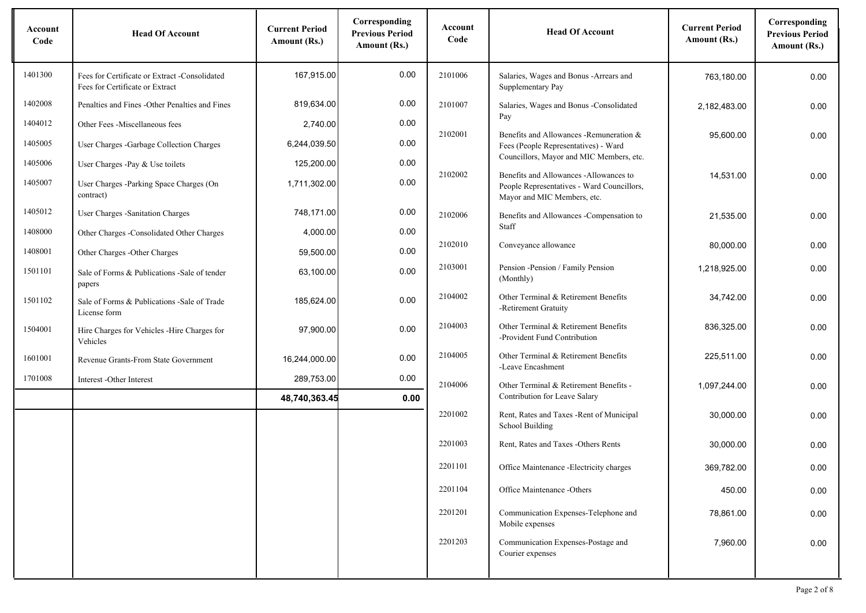| Account<br>Code | <b>Head Of Account</b>                                                           | <b>Current Period</b><br>Amount (Rs.) | Corresponding<br><b>Previous Period</b><br>Amount (Rs.) | Account<br>Code | <b>Head Of Account</b>                                                                                              | <b>Current Period</b><br>Amount (Rs.) | Corresponding<br><b>Previous Period</b><br>Amount (Rs.) |
|-----------------|----------------------------------------------------------------------------------|---------------------------------------|---------------------------------------------------------|-----------------|---------------------------------------------------------------------------------------------------------------------|---------------------------------------|---------------------------------------------------------|
| 1401300         | Fees for Certificate or Extract -Consolidated<br>Fees for Certificate or Extract | 167,915.00                            | 0.00                                                    | 2101006         | Salaries, Wages and Bonus - Arrears and<br>Supplementary Pay                                                        | 763,180.00                            | 0.00                                                    |
| 1402008         | Penalties and Fines - Other Penalties and Fines                                  | 819,634.00                            | 0.00                                                    | 2101007         | Salaries, Wages and Bonus -Consolidated                                                                             | 2,182,483.00                          | 0.00                                                    |
| 1404012         | Other Fees -Miscellaneous fees                                                   | 2,740.00                              | 0.00                                                    | 2102001         | Pay                                                                                                                 |                                       |                                                         |
| 1405005         | User Charges -Garbage Collection Charges                                         | 6,244,039.50                          | 0.00                                                    |                 | Benefits and Allowances - Remuneration &<br>Fees (People Representatives) - Ward                                    | 95,600.00                             | 0.00                                                    |
| 1405006         | User Charges -Pay & Use toilets                                                  | 125,200.00                            | 0.00                                                    |                 | Councillors, Mayor and MIC Members, etc.                                                                            |                                       |                                                         |
| 1405007         | User Charges -Parking Space Charges (On<br>contract)                             | 1,711,302.00                          | 0.00                                                    | 2102002         | Benefits and Allowances -Allowances to<br>People Representatives - Ward Councillors,<br>Mayor and MIC Members, etc. | 14,531.00                             | 0.00                                                    |
| 1405012         | User Charges - Sanitation Charges                                                | 748,171.00                            | 0.00                                                    | 2102006         | Benefits and Allowances -Compensation to                                                                            | 21,535.00                             | 0.00                                                    |
| 1408000         | Other Charges -Consolidated Other Charges                                        | 4,000.00                              | 0.00                                                    |                 | Staff                                                                                                               |                                       |                                                         |
| 1408001         | Other Charges - Other Charges                                                    | 59,500.00                             | 0.00                                                    | 2102010         | Conveyance allowance                                                                                                | 80,000.00                             | 0.00                                                    |
| 1501101         | Sale of Forms & Publications - Sale of tender<br>papers                          | 63,100.00                             | 0.00                                                    | 2103001         | Pension - Pension / Family Pension<br>(Monthly)                                                                     | 1,218,925.00                          | 0.00                                                    |
| 1501102         | Sale of Forms & Publications - Sale of Trade<br>License form                     | 185,624.00                            | 0.00                                                    | 2104002         | Other Terminal & Retirement Benefits<br>-Retirement Gratuity                                                        | 34,742.00                             | 0.00                                                    |
| 1504001         | Hire Charges for Vehicles -Hire Charges for<br>Vehicles                          | 97,900.00                             | 0.00                                                    | 2104003         | Other Terminal & Retirement Benefits<br>-Provident Fund Contribution                                                | 836,325.00                            | 0.00                                                    |
| 1601001         | Revenue Grants-From State Government                                             | 16,244,000.00                         | 0.00                                                    | 2104005         | Other Terminal & Retirement Benefits<br>-Leave Encashment                                                           | 225,511.00                            | 0.00                                                    |
| 1701008         | Interest -Other Interest                                                         | 289,753.00                            | 0.00                                                    | 2104006         | Other Terminal & Retirement Benefits -                                                                              | 1,097,244.00                          | 0.00                                                    |
|                 |                                                                                  | 48,740,363.45                         | 0.00                                                    |                 | Contribution for Leave Salary                                                                                       |                                       |                                                         |
|                 |                                                                                  |                                       |                                                         | 2201002         | Rent, Rates and Taxes - Rent of Municipal<br>School Building                                                        | 30,000.00                             | 0.00                                                    |
|                 |                                                                                  |                                       |                                                         | 2201003         | Rent, Rates and Taxes -Others Rents                                                                                 | 30,000.00                             | 0.00                                                    |
|                 |                                                                                  |                                       |                                                         | 2201101         | Office Maintenance - Electricity charges                                                                            | 369,782.00                            | 0.00                                                    |
|                 |                                                                                  |                                       |                                                         | 2201104         | Office Maintenance -Others                                                                                          | 450.00                                | 0.00                                                    |
|                 |                                                                                  |                                       |                                                         | 2201201         | Communication Expenses-Telephone and<br>Mobile expenses                                                             | 78,861.00                             | 0.00                                                    |
|                 |                                                                                  |                                       |                                                         | 2201203         | Communication Expenses-Postage and<br>Courier expenses                                                              | 7,960.00                              | 0.00                                                    |
|                 |                                                                                  |                                       |                                                         |                 |                                                                                                                     |                                       |                                                         |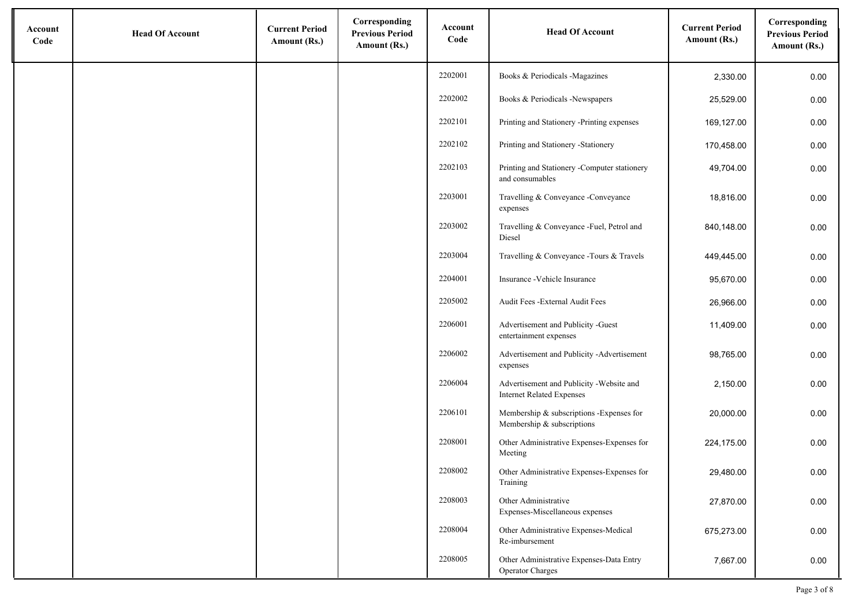| Account<br>Code | <b>Head Of Account</b> | <b>Current Period</b><br>Amount (Rs.) | Corresponding<br><b>Previous Period</b><br>Amount (Rs.) | Account<br>Code | <b>Head Of Account</b>                                                       | <b>Current Period</b><br>Amount (Rs.) | Corresponding<br><b>Previous Period</b><br>Amount (Rs.) |
|-----------------|------------------------|---------------------------------------|---------------------------------------------------------|-----------------|------------------------------------------------------------------------------|---------------------------------------|---------------------------------------------------------|
|                 |                        |                                       |                                                         | 2202001         | Books & Periodicals -Magazines                                               | 2,330.00                              | 0.00                                                    |
|                 |                        |                                       |                                                         | 2202002         | Books & Periodicals -Newspapers                                              | 25,529.00                             | 0.00                                                    |
|                 |                        |                                       |                                                         | 2202101         | Printing and Stationery -Printing expenses                                   | 169,127.00                            | 0.00                                                    |
|                 |                        |                                       |                                                         | 2202102         | Printing and Stationery -Stationery                                          | 170,458.00                            | 0.00                                                    |
|                 |                        |                                       |                                                         | 2202103         | Printing and Stationery -Computer stationery<br>and consumables              | 49,704.00                             | 0.00                                                    |
|                 |                        |                                       |                                                         | 2203001         | Travelling & Conveyance -Conveyance<br>expenses                              | 18,816.00                             | 0.00                                                    |
|                 |                        |                                       |                                                         | 2203002         | Travelling & Conveyance -Fuel, Petrol and<br>Diesel                          | 840,148.00                            | 0.00                                                    |
|                 |                        |                                       |                                                         | 2203004         | Travelling & Conveyance - Tours & Travels                                    | 449,445.00                            | 0.00                                                    |
|                 |                        |                                       |                                                         | 2204001         | Insurance - Vehicle Insurance                                                | 95,670.00                             | 0.00                                                    |
|                 |                        |                                       |                                                         | 2205002         | Audit Fees - External Audit Fees                                             | 26,966.00                             | 0.00                                                    |
|                 |                        |                                       |                                                         | 2206001         | Advertisement and Publicity -Guest<br>entertainment expenses                 | 11,409.00                             | 0.00                                                    |
|                 |                        |                                       |                                                         | 2206002         | Advertisement and Publicity -Advertisement<br>expenses                       | 98,765.00                             | 0.00                                                    |
|                 |                        |                                       |                                                         | 2206004         | Advertisement and Publicity -Website and<br><b>Internet Related Expenses</b> | 2,150.00                              | 0.00                                                    |
|                 |                        |                                       |                                                         | 2206101         | Membership & subscriptions -Expenses for<br>Membership & subscriptions       | 20,000.00                             | 0.00                                                    |
|                 |                        |                                       |                                                         | 2208001         | Other Administrative Expenses-Expenses for<br>Meeting                        | 224,175.00                            | 0.00                                                    |
|                 |                        |                                       |                                                         | 2208002         | Other Administrative Expenses-Expenses for<br>Training                       | 29,480.00                             | 0.00                                                    |
|                 |                        |                                       |                                                         | 2208003         | Other Administrative<br>Expenses-Miscellaneous expenses                      | 27,870.00                             | 0.00                                                    |
|                 |                        |                                       |                                                         | 2208004         | Other Administrative Expenses-Medical<br>Re-imbursement                      | 675,273.00                            | 0.00                                                    |
|                 |                        |                                       |                                                         | 2208005         | Other Administrative Expenses-Data Entry<br><b>Operator Charges</b>          | 7,667.00                              | 0.00                                                    |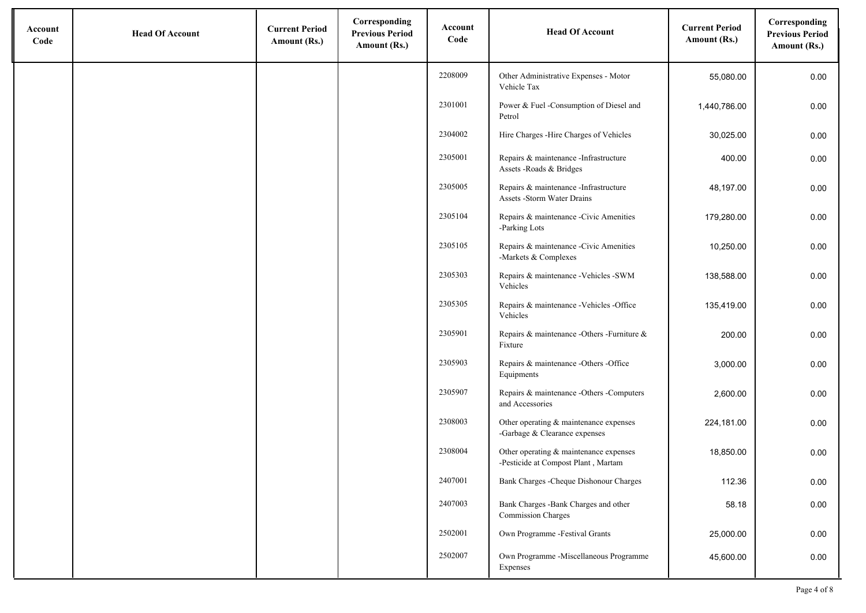| Account<br>Code | <b>Head Of Account</b> | <b>Current Period</b><br>Amount (Rs.) | Corresponding<br><b>Previous Period</b><br>Amount (Rs.) | Account<br>Code | <b>Head Of Account</b>                                                        | <b>Current Period</b><br>Amount (Rs.) | Corresponding<br><b>Previous Period</b><br>Amount (Rs.) |
|-----------------|------------------------|---------------------------------------|---------------------------------------------------------|-----------------|-------------------------------------------------------------------------------|---------------------------------------|---------------------------------------------------------|
|                 |                        |                                       |                                                         | 2208009         | Other Administrative Expenses - Motor<br>Vehicle Tax                          | 55,080.00                             | 0.00                                                    |
|                 |                        |                                       |                                                         | 2301001         | Power & Fuel -Consumption of Diesel and<br>Petrol                             | 1,440,786.00                          | 0.00                                                    |
|                 |                        |                                       |                                                         | 2304002         | Hire Charges - Hire Charges of Vehicles                                       | 30,025.00                             | 0.00                                                    |
|                 |                        |                                       |                                                         | 2305001         | Repairs & maintenance -Infrastructure<br>Assets - Roads & Bridges             | 400.00                                | 0.00                                                    |
|                 |                        |                                       |                                                         | 2305005         | Repairs & maintenance -Infrastructure<br>Assets -Storm Water Drains           | 48,197.00                             | 0.00                                                    |
|                 |                        |                                       |                                                         | 2305104         | Repairs & maintenance -Civic Amenities<br>-Parking Lots                       | 179,280.00                            | 0.00                                                    |
|                 |                        |                                       |                                                         | 2305105         | Repairs & maintenance -Civic Amenities<br>-Markets & Complexes                | 10,250.00                             | 0.00                                                    |
|                 |                        |                                       |                                                         | 2305303         | Repairs & maintenance -Vehicles -SWM<br>Vehicles                              | 138,588.00                            | 0.00                                                    |
|                 |                        |                                       |                                                         | 2305305         | Repairs & maintenance -Vehicles -Office<br>Vehicles                           | 135,419.00                            | 0.00                                                    |
|                 |                        |                                       |                                                         | 2305901         | Repairs & maintenance -Others -Furniture &<br>Fixture                         | 200.00                                | 0.00                                                    |
|                 |                        |                                       |                                                         | 2305903         | Repairs & maintenance -Others -Office<br>Equipments                           | 3,000.00                              | 0.00                                                    |
|                 |                        |                                       |                                                         | 2305907         | Repairs & maintenance -Others -Computers<br>and Accessories                   | 2,600.00                              | 0.00                                                    |
|                 |                        |                                       |                                                         | 2308003         | Other operating & maintenance expenses<br>-Garbage & Clearance expenses       | 224,181.00                            | 0.00                                                    |
|                 |                        |                                       |                                                         | 2308004         | Other operating & maintenance expenses<br>-Pesticide at Compost Plant, Martam | 18,850.00                             | 0.00                                                    |
|                 |                        |                                       |                                                         | 2407001         | Bank Charges - Cheque Dishonour Charges                                       | 112.36                                | 0.00                                                    |
|                 |                        |                                       |                                                         | 2407003         | Bank Charges -Bank Charges and other<br><b>Commission Charges</b>             | 58.18                                 | 0.00                                                    |
|                 |                        |                                       |                                                         | 2502001         | Own Programme -Festival Grants                                                | 25,000.00                             | 0.00                                                    |
|                 |                        |                                       |                                                         | 2502007         | Own Programme -Miscellaneous Programme<br>Expenses                            | 45,600.00                             | 0.00                                                    |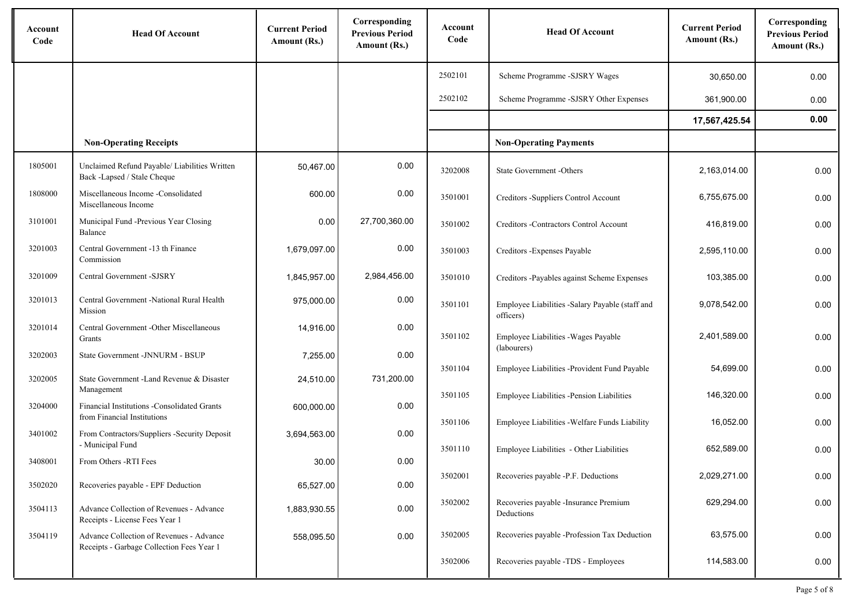| Account<br>Code | <b>Head Of Account</b>                                                                | <b>Current Period</b><br>Amount (Rs.) | Corresponding<br><b>Previous Period</b><br>Amount (Rs.) | Account<br>Code | <b>Head Of Account</b>                                       | <b>Current Period</b><br>Amount (Rs.) | Corresponding<br><b>Previous Period</b><br>Amount (Rs.) |
|-----------------|---------------------------------------------------------------------------------------|---------------------------------------|---------------------------------------------------------|-----------------|--------------------------------------------------------------|---------------------------------------|---------------------------------------------------------|
|                 |                                                                                       |                                       |                                                         | 2502101         | Scheme Programme -SJSRY Wages                                | 30,650.00                             | 0.00                                                    |
|                 |                                                                                       |                                       |                                                         | 2502102         | Scheme Programme -SJSRY Other Expenses                       | 361,900.00                            | 0.00                                                    |
|                 |                                                                                       |                                       |                                                         |                 |                                                              | 17,567,425.54                         | 0.00                                                    |
|                 | <b>Non-Operating Receipts</b>                                                         |                                       |                                                         |                 | <b>Non-Operating Payments</b>                                |                                       |                                                         |
| 1805001         | Unclaimed Refund Payable/ Liabilities Written<br>Back -Lapsed / Stale Cheque          | 50,467.00                             | 0.00                                                    | 3202008         | State Government -Others                                     | 2,163,014.00                          | 0.00                                                    |
| 1808000         | Miscellaneous Income -Consolidated<br>Miscellaneous Income                            | 600.00                                | 0.00                                                    | 3501001         | Creditors -Suppliers Control Account                         | 6,755,675.00                          | 0.00                                                    |
| 3101001         | Municipal Fund -Previous Year Closing<br>Balance                                      | 0.00                                  | 27,700,360.00                                           | 3501002         | Creditors -Contractors Control Account                       | 416,819.00                            | 0.00                                                    |
| 3201003         | Central Government -13 th Finance<br>Commission                                       | 1,679,097.00                          | 0.00                                                    | 3501003         | Creditors - Expenses Payable                                 | 2,595,110.00                          | 0.00                                                    |
| 3201009         | Central Government -SJSRY                                                             | 1,845,957.00                          | 2,984,456.00                                            | 3501010         | Creditors -Payables against Scheme Expenses                  | 103,385.00                            | 0.00                                                    |
| 3201013         | Central Government -National Rural Health<br>Mission                                  | 975,000.00                            | 0.00                                                    | 3501101         | Employee Liabilities -Salary Payable (staff and<br>officers) | 9,078,542.00                          | 0.00                                                    |
| 3201014         | Central Government - Other Miscellaneous<br>Grants                                    | 14,916.00                             | 0.00                                                    | 3501102         | Employee Liabilities - Wages Payable                         | 2,401,589.00                          | 0.00                                                    |
| 3202003         | State Government -JNNURM - BSUP                                                       | 7,255.00                              | 0.00                                                    |                 | (labourers)                                                  |                                       |                                                         |
| 3202005         | State Government -Land Revenue & Disaster                                             | 24,510.00                             | 731,200.00                                              | 3501104         | Employee Liabilities -Provident Fund Payable                 | 54,699.00                             | 0.00                                                    |
| 3204000         | Management<br>Financial Institutions -Consolidated Grants                             | 600,000.00                            | 0.00                                                    | 3501105         | Employee Liabilities -Pension Liabilities                    | 146,320.00                            | 0.00                                                    |
|                 | from Financial Institutions                                                           |                                       |                                                         | 3501106         | Employee Liabilities - Welfare Funds Liability               | 16,052.00                             | 0.00                                                    |
| 3401002         | From Contractors/Suppliers -Security Deposit<br>- Municipal Fund                      | 3,694,563.00                          | 0.00                                                    | 3501110         | Employee Liabilities - Other Liabilities                     | 652.589.00                            | 0.00                                                    |
| 3408001         | From Others -RTI Fees                                                                 | 30.00                                 | 0.00                                                    |                 |                                                              |                                       |                                                         |
| 3502020         | Recoveries payable - EPF Deduction                                                    | 65,527.00                             | 0.00                                                    | 3502001         | Recoveries payable -P.F. Deductions                          | 2,029,271.00                          | 0.00                                                    |
| 3504113         | Advance Collection of Revenues - Advance<br>Receipts - License Fees Year 1            | 1,883,930.55                          | 0.00                                                    | 3502002         | Recoveries payable -Insurance Premium<br>Deductions          | 629,294.00                            | 0.00                                                    |
| 3504119         | Advance Collection of Revenues - Advance<br>Receipts - Garbage Collection Fees Year 1 | 558,095.50                            | 0.00                                                    | 3502005         | Recoveries payable -Profession Tax Deduction                 | 63,575.00                             | 0.00                                                    |
|                 |                                                                                       |                                       |                                                         | 3502006         | Recoveries payable -TDS - Employees                          | 114,583.00                            | 0.00                                                    |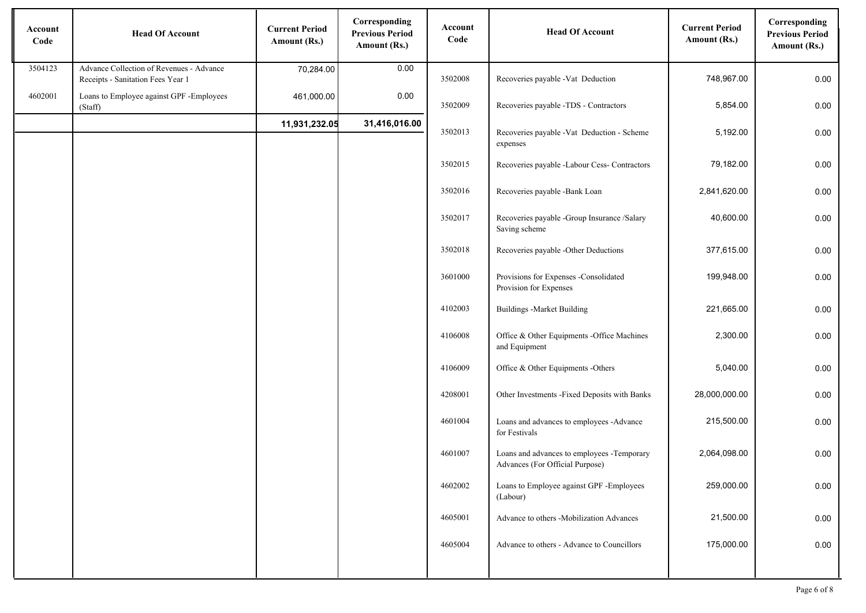| Account<br>Code | <b>Head Of Account</b>                                                        | <b>Current Period</b><br>Amount (Rs.) | Corresponding<br><b>Previous Period</b><br>Amount (Rs.) | Account<br>Code | <b>Head Of Account</b>                                                        | <b>Current Period</b><br>Amount (Rs.) | Corresponding<br><b>Previous Period</b><br>Amount (Rs.) |
|-----------------|-------------------------------------------------------------------------------|---------------------------------------|---------------------------------------------------------|-----------------|-------------------------------------------------------------------------------|---------------------------------------|---------------------------------------------------------|
| 3504123         | Advance Collection of Revenues - Advance<br>Receipts - Sanitation Fees Year 1 | 70,284.00                             | 0.00                                                    | 3502008         | Recoveries payable -Vat Deduction                                             | 748,967.00                            | 0.00                                                    |
| 4602001         | Loans to Employee against GPF -Employees<br>(Staff)                           | 461,000.00                            | 0.00                                                    | 3502009         | Recoveries payable -TDS - Contractors                                         | 5,854.00                              | 0.00                                                    |
|                 |                                                                               | 11,931,232.05                         | 31,416,016.00                                           | 3502013         | Recoveries payable -Vat Deduction - Scheme<br>expenses                        | 5,192.00                              | 0.00                                                    |
|                 |                                                                               |                                       |                                                         | 3502015         | Recoveries payable -Labour Cess- Contractors                                  | 79,182.00                             | 0.00                                                    |
|                 |                                                                               |                                       |                                                         | 3502016         | Recoveries payable -Bank Loan                                                 | 2,841,620.00                          | 0.00                                                    |
|                 |                                                                               |                                       |                                                         | 3502017         | Recoveries payable -Group Insurance /Salary<br>Saving scheme                  | 40,600.00                             | 0.00                                                    |
|                 |                                                                               |                                       |                                                         | 3502018         | Recoveries payable -Other Deductions                                          | 377,615.00                            | 0.00                                                    |
|                 |                                                                               |                                       |                                                         | 3601000         | Provisions for Expenses -Consolidated<br>Provision for Expenses               | 199,948.00                            | 0.00                                                    |
|                 |                                                                               |                                       |                                                         | 4102003         | <b>Buildings - Market Building</b>                                            | 221,665.00                            | 0.00                                                    |
|                 |                                                                               |                                       |                                                         | 4106008         | Office & Other Equipments -Office Machines<br>and Equipment                   | 2,300.00                              | 0.00                                                    |
|                 |                                                                               |                                       |                                                         | 4106009         | Office & Other Equipments -Others                                             | 5,040.00                              | 0.00                                                    |
|                 |                                                                               |                                       |                                                         | 4208001         | Other Investments -Fixed Deposits with Banks                                  | 28,000,000.00                         | 0.00                                                    |
|                 |                                                                               |                                       |                                                         | 4601004         | Loans and advances to employees -Advance<br>for Festivals                     | 215,500.00                            | 0.00                                                    |
|                 |                                                                               |                                       |                                                         | 4601007         | Loans and advances to employees -Temporary<br>Advances (For Official Purpose) | 2,064,098.00                          | 0.00                                                    |
|                 |                                                                               |                                       |                                                         | 4602002         | Loans to Employee against GPF -Employees<br>(Labour)                          | 259,000.00                            | 0.00                                                    |
|                 |                                                                               |                                       |                                                         | 4605001         | Advance to others -Mobilization Advances                                      | 21,500.00                             | 0.00                                                    |
|                 |                                                                               |                                       |                                                         | 4605004         | Advance to others - Advance to Councillors                                    | 175,000.00                            | 0.00                                                    |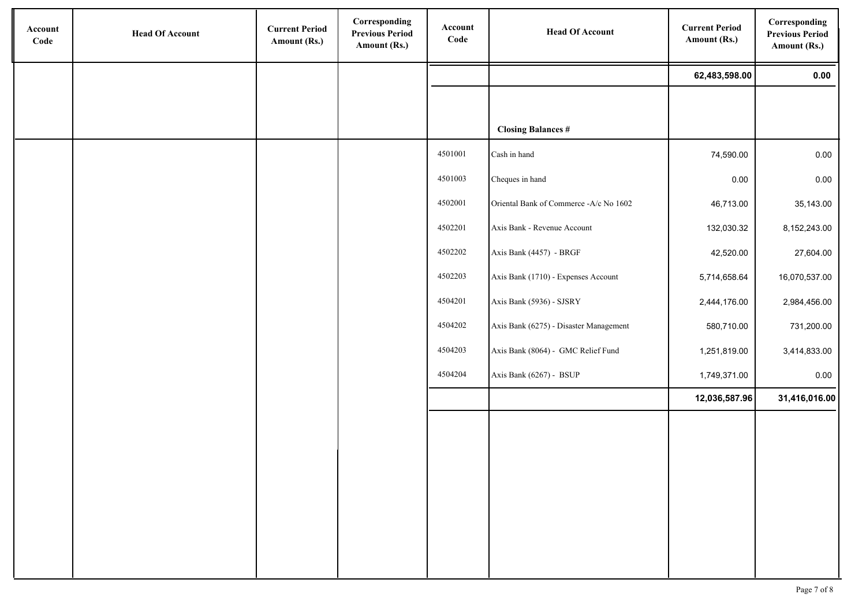| Account<br>Code | <b>Head Of Account</b> | <b>Current Period</b><br>Amount (Rs.) | Corresponding<br><b>Previous Period</b><br>Amount (Rs.) | Account<br>Code | <b>Head Of Account</b>                 | <b>Current Period</b><br>Amount (Rs.) | Corresponding<br><b>Previous Period</b><br>Amount (Rs.) |
|-----------------|------------------------|---------------------------------------|---------------------------------------------------------|-----------------|----------------------------------------|---------------------------------------|---------------------------------------------------------|
|                 |                        |                                       |                                                         |                 |                                        | 62,483,598.00                         | 0.00                                                    |
|                 |                        |                                       |                                                         |                 |                                        |                                       |                                                         |
|                 |                        |                                       |                                                         |                 | <b>Closing Balances #</b>              |                                       |                                                         |
|                 |                        |                                       |                                                         | 4501001         | Cash in hand                           | 74,590.00                             | 0.00                                                    |
|                 |                        |                                       |                                                         | 4501003         | Cheques in hand                        | 0.00                                  | 0.00                                                    |
|                 |                        |                                       |                                                         | 4502001         | Oriental Bank of Commerce -A/c No 1602 | 46,713.00                             | 35,143.00                                               |
|                 |                        |                                       |                                                         | 4502201         | Axis Bank - Revenue Account            | 132,030.32                            | 8,152,243.00                                            |
|                 |                        |                                       |                                                         | 4502202         | Axis Bank (4457) - BRGF                | 42,520.00                             | 27,604.00                                               |
|                 |                        |                                       |                                                         | 4502203         | Axis Bank (1710) - Expenses Account    | 5,714,658.64                          | 16,070,537.00                                           |
|                 |                        |                                       |                                                         | 4504201         | Axis Bank (5936) - SJSRY               | 2,444,176.00                          | 2,984,456.00                                            |
|                 |                        |                                       |                                                         | 4504202         | Axis Bank (6275) - Disaster Management | 580,710.00                            | 731,200.00                                              |
|                 |                        |                                       |                                                         | 4504203         | Axis Bank (8064) - GMC Relief Fund     | 1,251,819.00                          | 3,414,833.00                                            |
|                 |                        |                                       |                                                         | 4504204         | Axis Bank (6267) - BSUP                | 1,749,371.00                          | 0.00                                                    |
|                 |                        |                                       |                                                         |                 |                                        | 12,036,587.96                         | 31,416,016.00                                           |
|                 |                        |                                       |                                                         |                 |                                        |                                       |                                                         |
|                 |                        |                                       |                                                         |                 |                                        |                                       |                                                         |
|                 |                        |                                       |                                                         |                 |                                        |                                       |                                                         |
|                 |                        |                                       |                                                         |                 |                                        |                                       |                                                         |
|                 |                        |                                       |                                                         |                 |                                        |                                       |                                                         |
|                 |                        |                                       |                                                         |                 |                                        |                                       |                                                         |
|                 |                        |                                       |                                                         |                 |                                        |                                       |                                                         |